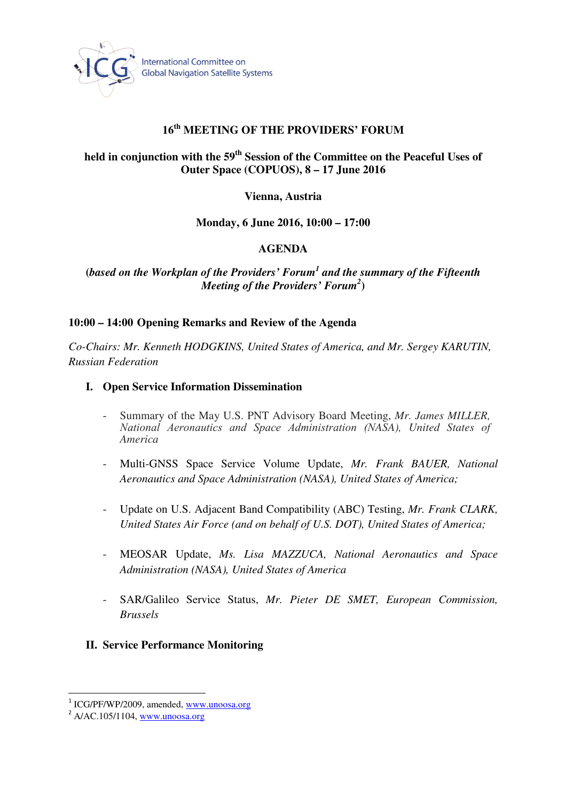

# **16th MEETING OF THE PROVIDERS' FORUM**

# **held in conjunction with the 59th Session of the Committee on the Peaceful Uses of Outer Space (COPUOS), 8 – 17 June 2016**

### **Vienna, Austria**

### **Monday, 6 June 2016, 10:00 – 17:00**

### **AGENDA**

## **(***based on the Workplan of the Providers' Forum<sup>1</sup> and the summary of the Fifteenth Meeting of the Providers' Forum<sup>2</sup>* **)**

### **10:00 – 14:00 Opening Remarks and Review of the Agenda**

*Co-Chairs: Mr. Kenneth HODGKINS, United States of America, and Mr. Sergey KARUTIN, Russian Federation* 

#### **I. Open Service Information Dissemination**

- Summary of the May U.S. PNT Advisory Board Meeting, *Mr. James MILLER,*  National Aeronautics and Space Administration (NASA), United States of *America*
- Multi-GNSS Space Service Volume Update, *Mr. Frank BAUER, National Aeronautics and Space Administration (NASA), United States of America;*
- Update on U.S. Adjacent Band Compatibility (ABC) Testing, *Mr. Frank CLARK, United States Air Force (and on behalf of U.S. DOT), United States of America;*
- MEOSAR Update, *Ms. Lisa MAZZUCA, National Aeronautics and Space Administration (NASA), United States of America*
- SAR/Galileo Service Status, *Mr. Pieter DE SMET, European Commission, Brussels*
- **II. Service Performance Monitoring**

l

<sup>&</sup>lt;sup>1</sup> ICG/PF/WP/2009, amended, www.unoosa.org

 $^{2}$  A/AC.105/1104, www.unoosa.org